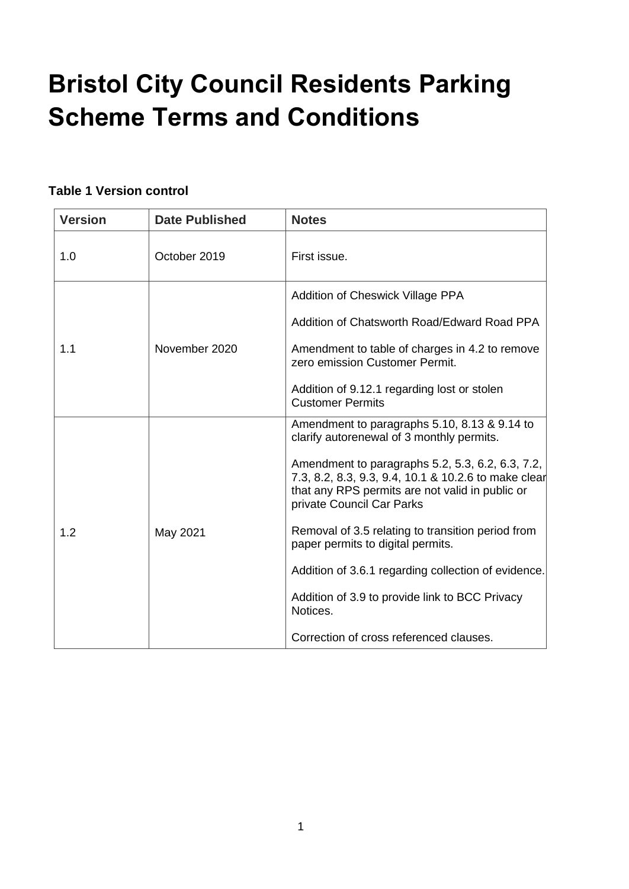# **Bristol City Council Residents Parking Scheme Terms and Conditions**

#### **Table 1 Version control**

| <b>Version</b> | <b>Date Published</b> | <b>Notes</b>                                                                                                                                                                                                                                                                                                                                                                                                                                                                                                                                    |
|----------------|-----------------------|-------------------------------------------------------------------------------------------------------------------------------------------------------------------------------------------------------------------------------------------------------------------------------------------------------------------------------------------------------------------------------------------------------------------------------------------------------------------------------------------------------------------------------------------------|
| 1.0            | October 2019          | First issue.                                                                                                                                                                                                                                                                                                                                                                                                                                                                                                                                    |
| 1.1            | November 2020         | Addition of Cheswick Village PPA<br>Addition of Chatsworth Road/Edward Road PPA<br>Amendment to table of charges in 4.2 to remove<br>zero emission Customer Permit.<br>Addition of 9.12.1 regarding lost or stolen<br><b>Customer Permits</b>                                                                                                                                                                                                                                                                                                   |
| 1.2            | May 2021              | Amendment to paragraphs 5.10, 8.13 & 9.14 to<br>clarify autorenewal of 3 monthly permits.<br>Amendment to paragraphs 5.2, 5.3, 6.2, 6.3, 7.2,<br>7.3, 8.2, 8.3, 9.3, 9.4, 10.1 & 10.2.6 to make clear<br>that any RPS permits are not valid in public or<br>private Council Car Parks<br>Removal of 3.5 relating to transition period from<br>paper permits to digital permits.<br>Addition of 3.6.1 regarding collection of evidence.<br>Addition of 3.9 to provide link to BCC Privacy<br>Notices.<br>Correction of cross referenced clauses. |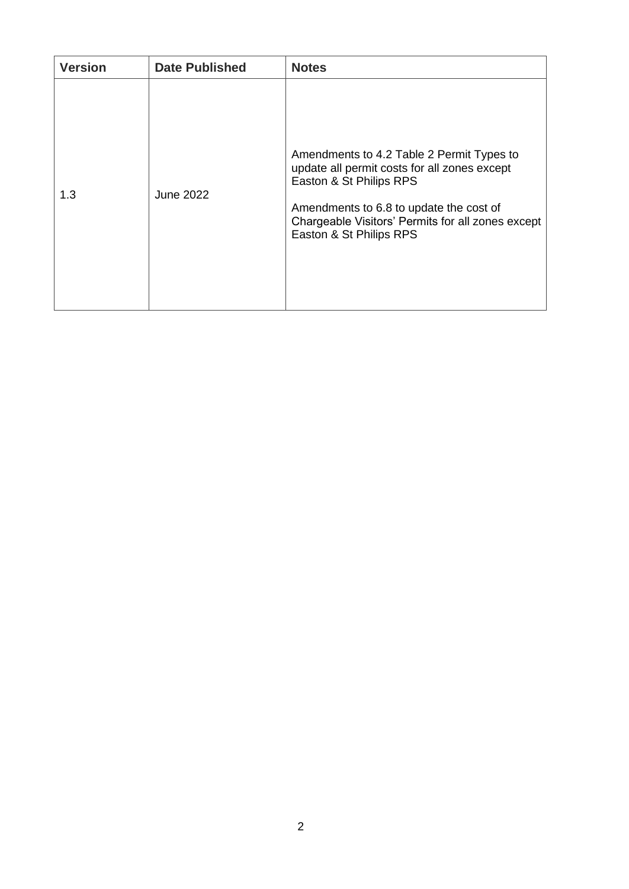| <b>Version</b> | <b>Date Published</b> | <b>Notes</b>                                                                                                                                                                                                                                    |
|----------------|-----------------------|-------------------------------------------------------------------------------------------------------------------------------------------------------------------------------------------------------------------------------------------------|
| 1.3            | <b>June 2022</b>      | Amendments to 4.2 Table 2 Permit Types to<br>update all permit costs for all zones except<br>Easton & St Philips RPS<br>Amendments to 6.8 to update the cost of<br>Chargeable Visitors' Permits for all zones except<br>Easton & St Philips RPS |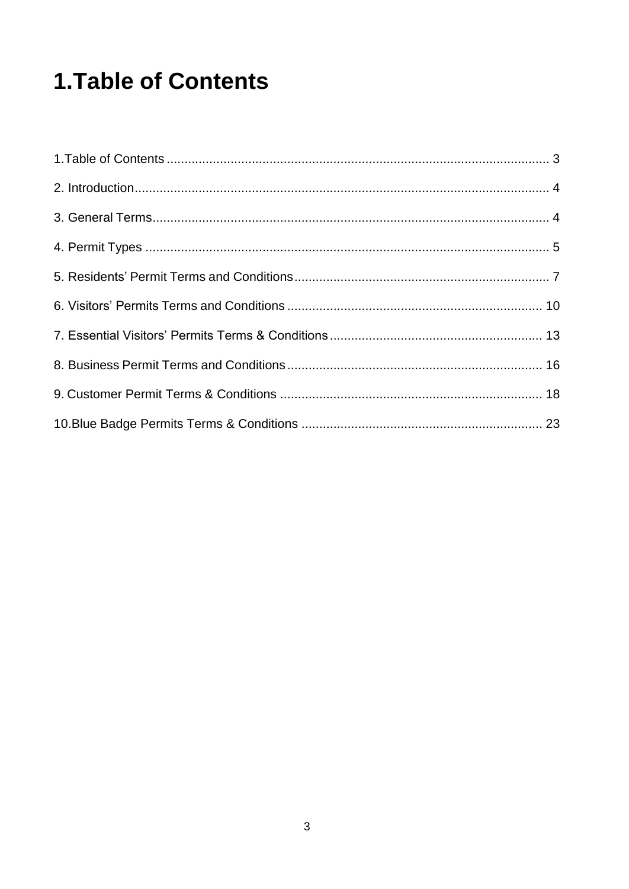## <span id="page-2-0"></span>**1. Table of Contents**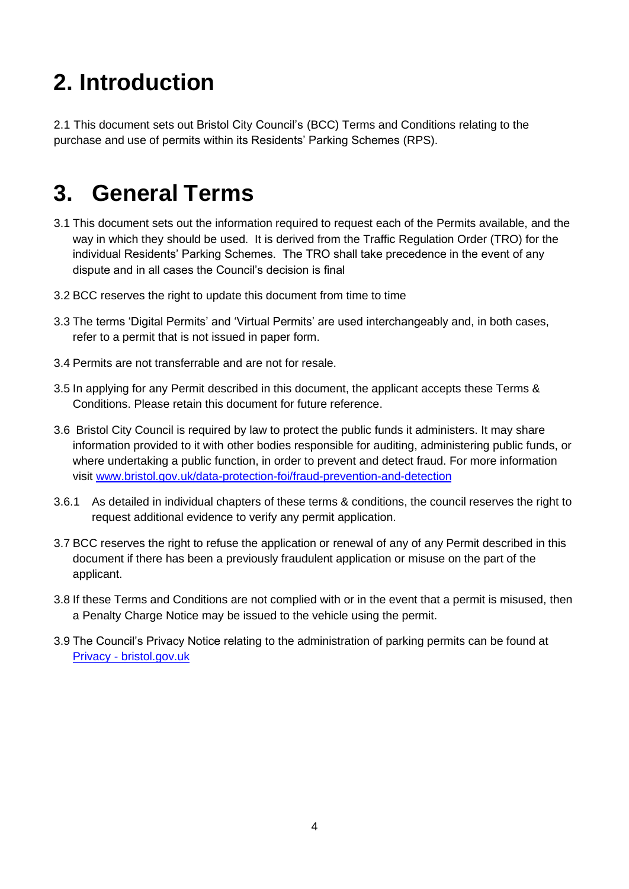## <span id="page-3-2"></span>**2. Introduction**

2.1 This document sets out Bristol City Council's (BCC) Terms and Conditions relating to the purchase and use of permits within its Residents' Parking Schemes (RPS).

### <span id="page-3-3"></span>**3. General Terms**

- 3.1 This document sets out the information required to request each of the Permits available, and the way in which they should be used. It is derived from the Traffic Regulation Order (TRO) for the individual Residents' Parking Schemes. The TRO shall take precedence in the event of any dispute and in all cases the Council's decision is final
- 3.2 BCC reserves the right to update this document from time to time
- 3.3 The terms 'Digital Permits' and 'Virtual Permits' are used interchangeably and, in both cases, refer to a permit that is not issued in paper form.
- 3.4 Permits are not transferrable and are not for resale.
- 3.5 In applying for any Permit described in this document, the applicant accepts these Terms & Conditions. Please retain this document for future reference.
- 3.6 Bristol City Council is required by law to protect the public funds it administers. It may share information provided to it with other bodies responsible for auditing, administering public funds, or where undertaking a public function, in order to prevent and detect fraud. For more information visit [www.bristol.gov.uk/data-protection-foi/fraud-prevention-and-detection](http://www.bristol.gov.uk/data-protection-foi/fraud-prevention-and-detection)
- <span id="page-3-0"></span>3.6.1 As detailed in individual chapters of these terms & conditions, the council reserves the right to request additional evidence to verify any permit application.
- 3.7 BCC reserves the right to refuse the application or renewal of any of any Permit described in this document if there has been a previously fraudulent application or misuse on the part of the applicant.
- 3.8 If these Terms and Conditions are not complied with or in the event that a permit is misused, then a Penalty Charge Notice may be issued to the vehicle using the permit.
- <span id="page-3-1"></span>3.9 The Council's Privacy Notice relating to the administration of parking permits can be found at Privacy - [bristol.gov.uk](https://www.bristol.gov.uk/about-our-website/privacy)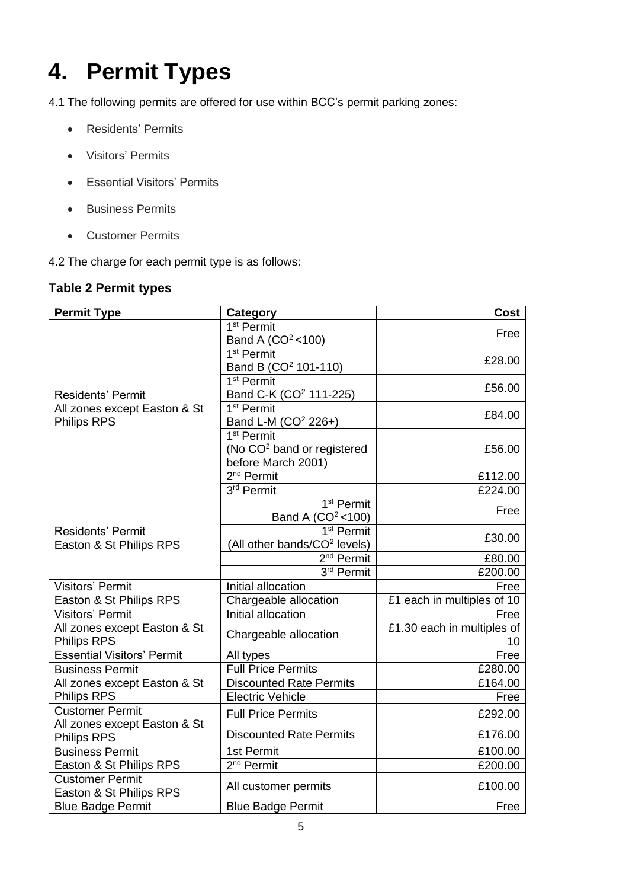## <span id="page-4-1"></span>**4. Permit Types**

4.1 The following permits are offered for use within BCC's permit parking zones:

- Residents' Permits
- Visitors' Permits
- Essential Visitors' Permits
- Business Permits
- Customer Permits

<span id="page-4-0"></span>4.2 The charge for each permit type is as follows:

#### **Table 2 Permit types**

| <b>Permit Type</b>                                 | Category                                                  | <b>Cost</b>                |
|----------------------------------------------------|-----------------------------------------------------------|----------------------------|
|                                                    | 1 <sup>st</sup> Permit                                    | Free                       |
|                                                    | Band A (CO <sup>2</sup> < 100)                            |                            |
|                                                    | 1 <sup>st</sup> Permit                                    | £28.00                     |
|                                                    | Band B (CO <sup>2</sup> 101-110)                          |                            |
|                                                    | 1 <sup>st</sup> Permit                                    | £56.00                     |
| <b>Residents' Permit</b>                           | Band C-K (CO <sup>2</sup> 111-225)                        |                            |
| All zones except Easton & St<br><b>Philips RPS</b> | 1 <sup>st</sup> Permit                                    | £84.00                     |
|                                                    | Band L-M (CO <sup>2</sup> 226+)<br>1 <sup>st</sup> Permit |                            |
|                                                    | (No CO <sup>2</sup> band or registered                    | £56.00                     |
|                                                    | before March 2001)                                        |                            |
|                                                    | $2nd$ Permit                                              | £112.00                    |
|                                                    | 3rd Permit                                                | £224.00                    |
|                                                    | 1 <sup>st</sup> Permit                                    |                            |
|                                                    | Band A $(CO2 < 100)$                                      | Free                       |
| <b>Residents' Permit</b>                           | $\overline{1^{st}}$ Permit                                | £30.00                     |
| Easton & St Philips RPS                            | (All other bands/CO <sup>2</sup> levels)                  |                            |
|                                                    | 2 <sup>nd</sup> Permit                                    | £80.00                     |
|                                                    | 3rd Permit                                                | £200.00                    |
| <b>Visitors' Permit</b>                            | Initial allocation                                        | Free                       |
| Easton & St Philips RPS                            | Chargeable allocation                                     | £1 each in multiples of 10 |
| <b>Visitors' Permit</b>                            | Initial allocation                                        | Free                       |
| All zones except Easton & St                       | Chargeable allocation                                     | £1.30 each in multiples of |
| <b>Philips RPS</b>                                 |                                                           | 10                         |
| <b>Essential Visitors' Permit</b>                  | All types<br><b>Full Price Permits</b>                    | Free                       |
| <b>Business Permit</b>                             | <b>Discounted Rate Permits</b>                            | £280.00<br>£164.00         |
| All zones except Easton & St<br><b>Philips RPS</b> | <b>Electric Vehicle</b>                                   | Free                       |
| <b>Customer Permit</b>                             |                                                           |                            |
| All zones except Easton & St                       | <b>Full Price Permits</b>                                 | £292.00                    |
| <b>Philips RPS</b>                                 | <b>Discounted Rate Permits</b>                            | £176.00                    |
| <b>Business Permit</b>                             | 1st Permit                                                | £100.00                    |
| Easton & St Philips RPS                            | 2 <sup>nd</sup> Permit                                    | £200.00                    |
| <b>Customer Permit</b>                             | All customer permits                                      | £100.00                    |
| Easton & St Philips RPS                            |                                                           |                            |
| <b>Blue Badge Permit</b>                           | <b>Blue Badge Permit</b>                                  | Free                       |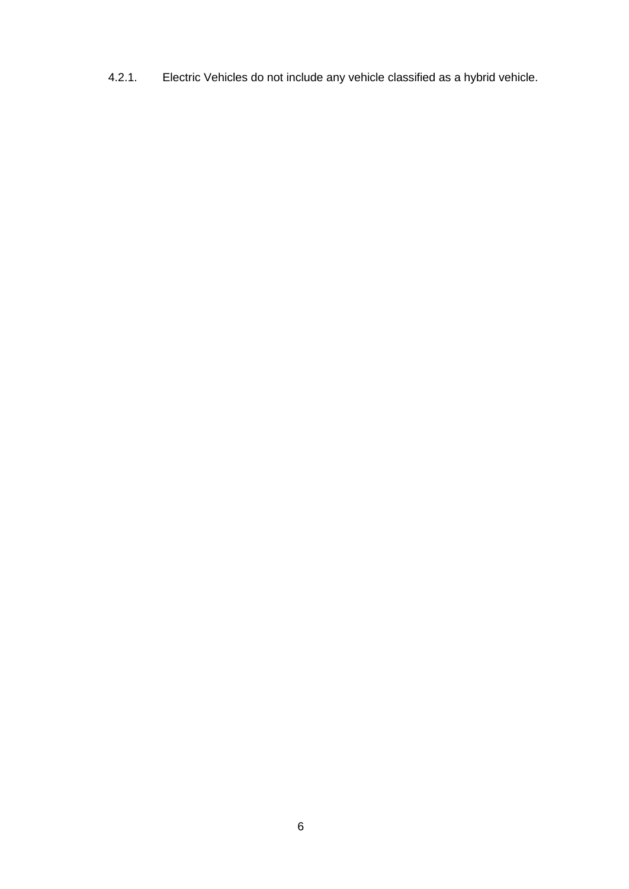4.2.1. Electric Vehicles do not include any vehicle classified as a hybrid vehicle.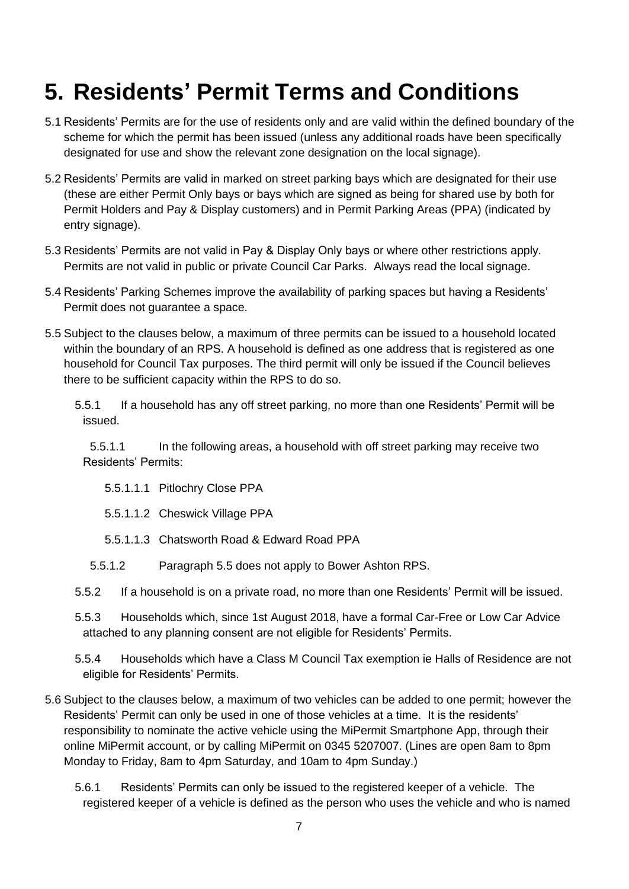### <span id="page-6-2"></span>**5. Residents' Permit Terms and Conditions**

- 5.1 Residents' Permits are for the use of residents only and are valid within the defined boundary of the scheme for which the permit has been issued (unless any additional roads have been specifically designated for use and show the relevant zone designation on the local signage).
- <span id="page-6-0"></span>5.2 Residents' Permits are valid in marked on street parking bays which are designated for their use (these are either Permit Only bays or bays which are signed as being for shared use by both for Permit Holders and Pay & Display customers) and in Permit Parking Areas (PPA) (indicated by entry signage).
- <span id="page-6-1"></span>5.3 Residents' Permits are not valid in Pay & Display Only bays or where other restrictions apply. Permits are not valid in public or private Council Car Parks. Always read the local signage.
- 5.4 Residents' Parking Schemes improve the availability of parking spaces but having a Residents' Permit does not guarantee a space.
- 5.5 Subject to the clauses below, a maximum of three permits can be issued to a household located within the boundary of an RPS. A household is defined as one address that is registered as one household for Council Tax purposes. The third permit will only be issued if the Council believes there to be sufficient capacity within the RPS to do so.

5.5.1 If a household has any off street parking, no more than one Residents' Permit will be issued.

5.5.1.1 In the following areas, a household with off street parking may receive two Residents' Permits:

<span id="page-6-3"></span>5.5.1.1.1 Pitlochry Close PPA

5.5.1.1.2 Cheswick Village PPA

5.5.1.1.3 Chatsworth Road & Edward Road PPA

- 5.5.1.2 Paragraph [5.5](#page-6-3) does not apply to Bower Ashton RPS.
- 5.5.2 If a household is on a private road, no more than one Residents' Permit will be issued.
- 5.5.3 Households which, since 1st August 2018, have a formal Car-Free or Low Car Advice attached to any planning consent are not eligible for Residents' Permits.

5.5.4 Households which have a Class M Council Tax exemption ie Halls of Residence are not eligible for Residents' Permits.

- <span id="page-6-4"></span>5.6 Subject to the clauses below, a maximum of two vehicles can be added to one permit; however the Residents' Permit can only be used in one of those vehicles at a time. It is the residents' responsibility to nominate the active vehicle using the MiPermit Smartphone App, through their online MiPermit account, or by calling MiPermit on 0345 5207007. (Lines are open 8am to 8pm Monday to Friday, 8am to 4pm Saturday, and 10am to 4pm Sunday.)
	- 5.6.1 Residents' Permits can only be issued to the registered keeper of a vehicle. The registered keeper of a vehicle is defined as the person who uses the vehicle and who is named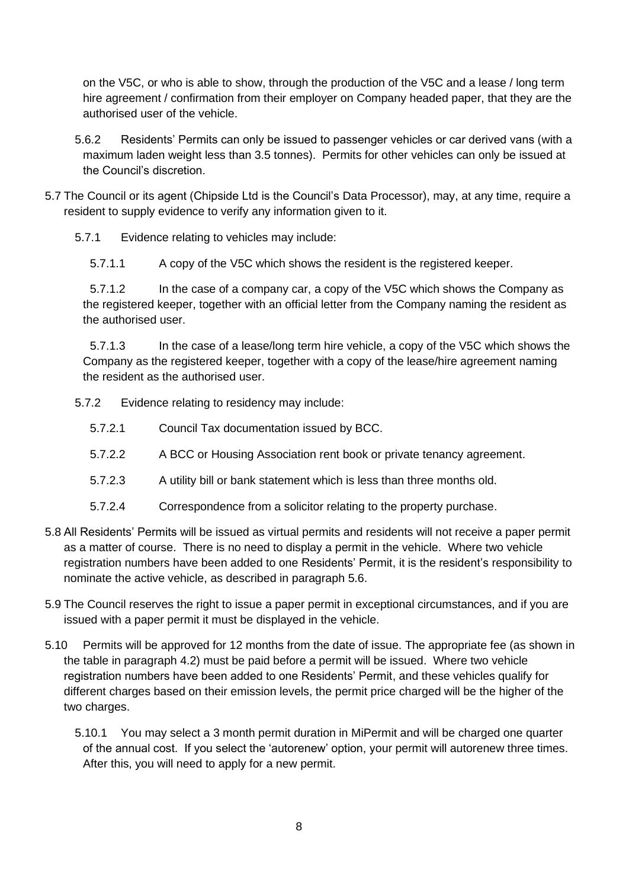on the V5C, or who is able to show, through the production of the V5C and a lease / long term hire agreement / confirmation from their employer on Company headed paper, that they are the authorised user of the vehicle.

5.6.2 Residents' Permits can only be issued to passenger vehicles or car derived vans (with a maximum laden weight less than 3.5 tonnes). Permits for other vehicles can only be issued at the Council's discretion.

- <span id="page-7-1"></span>5.7 The Council or its agent (Chipside Ltd is the Council's Data Processor), may, at any time, require a resident to supply evidence to verify any information given to it.
	- 5.7.1 Evidence relating to vehicles may include:
		- 5.7.1.1 A copy of the V5C which shows the resident is the registered keeper.

5.7.1.2 In the case of a company car, a copy of the V5C which shows the Company as the registered keeper, together with an official letter from the Company naming the resident as the authorised user.

5.7.1.3 In the case of a lease/long term hire vehicle, a copy of the V5C which shows the Company as the registered keeper, together with a copy of the lease/hire agreement naming the resident as the authorised user.

- 5.7.2 Evidence relating to residency may include:
	- 5.7.2.1 Council Tax documentation issued by BCC.
	- 5.7.2.2 A BCC or Housing Association rent book or private tenancy agreement.
	- 5.7.2.3 A utility bill or bank statement which is less than three months old.
	- 5.7.2.4 Correspondence from a solicitor relating to the property purchase.
- 5.8 All Residents' Permits will be issued as virtual permits and residents will not receive a paper permit as a matter of course. There is no need to display a permit in the vehicle. Where two vehicle registration numbers have been added to one Residents' Permit, it is the resident's responsibility to nominate the active vehicle, as described in paragraph [5.6.](#page-6-4)
- 5.9 The Council reserves the right to issue a paper permit in exceptional circumstances, and if you are issued with a paper permit it must be displayed in the vehicle.
- <span id="page-7-0"></span>5.10 Permits will be approved for 12 months from the date of issue. The appropriate fee (as shown in the table in paragraph [4.2\)](#page-4-0) must be paid before a permit will be issued. Where two vehicle registration numbers have been added to one Residents' Permit, and these vehicles qualify for different charges based on their emission levels, the permit price charged will be the higher of the two charges.

5.10.1 You may select a 3 month permit duration in MiPermit and will be charged one quarter of the annual cost. If you select the 'autorenew' option, your permit will autorenew three times. After this, you will need to apply for a new permit.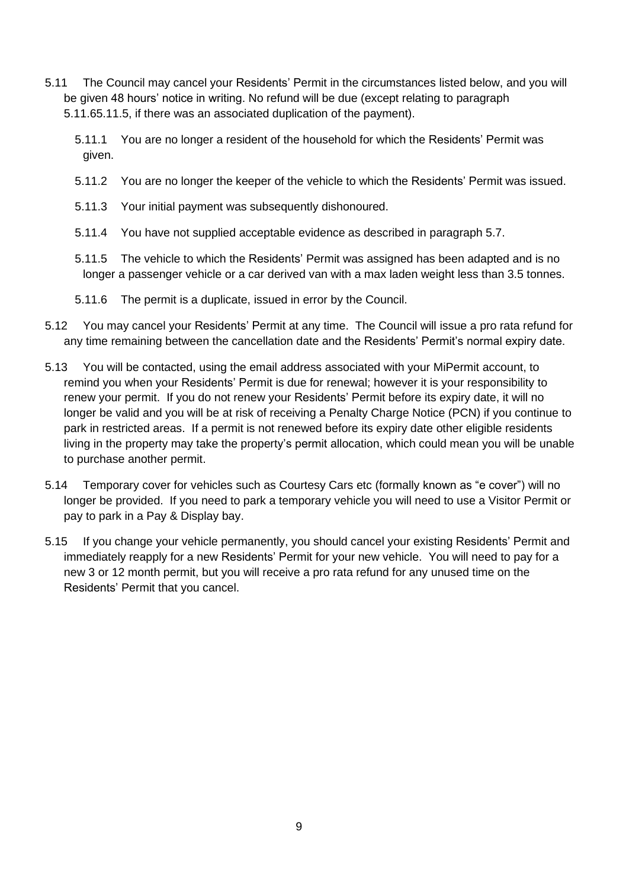- 5.11 The Council may cancel your Residents' Permit in the circumstances listed below, and you will be given 48 hours' notice in writing. No refund will be due (except relating to paragraph [5.11.6](#page-8-0)[5.11.5,](#page-8-1) if there was an associated duplication of the payment).
	- 5.11.1 You are no longer a resident of the household for which the Residents' Permit was given.
	- 5.11.2 You are no longer the keeper of the vehicle to which the Residents' Permit was issued.
	- 5.11.3 Your initial payment was subsequently dishonoured.
	- 5.11.4 You have not supplied acceptable evidence as described in paragraph [5.7.](#page-7-1)
	- 5.11.5 The vehicle to which the Residents' Permit was assigned has been adapted and is no longer a passenger vehicle or a car derived van with a max laden weight less than 3.5 tonnes.
	- 5.11.6 The permit is a duplicate, issued in error by the Council.
- <span id="page-8-1"></span><span id="page-8-0"></span>5.12 You may cancel your Residents' Permit at any time. The Council will issue a pro rata refund for any time remaining between the cancellation date and the Residents' Permit's normal expiry date.
- 5.13 You will be contacted, using the email address associated with your MiPermit account, to remind you when your Residents' Permit is due for renewal; however it is your responsibility to renew your permit. If you do not renew your Residents' Permit before its expiry date, it will no longer be valid and you will be at risk of receiving a Penalty Charge Notice (PCN) if you continue to park in restricted areas. If a permit is not renewed before its expiry date other eligible residents living in the property may take the property's permit allocation, which could mean you will be unable to purchase another permit.
- 5.14 Temporary cover for vehicles such as Courtesy Cars etc (formally known as "e cover") will no longer be provided. If you need to park a temporary vehicle you will need to use a Visitor Permit or pay to park in a Pay & Display bay.
- 5.15 If you change your vehicle permanently, you should cancel your existing Residents' Permit and immediately reapply for a new Residents' Permit for your new vehicle. You will need to pay for a new 3 or 12 month permit, but you will receive a pro rata refund for any unused time on the Residents' Permit that you cancel.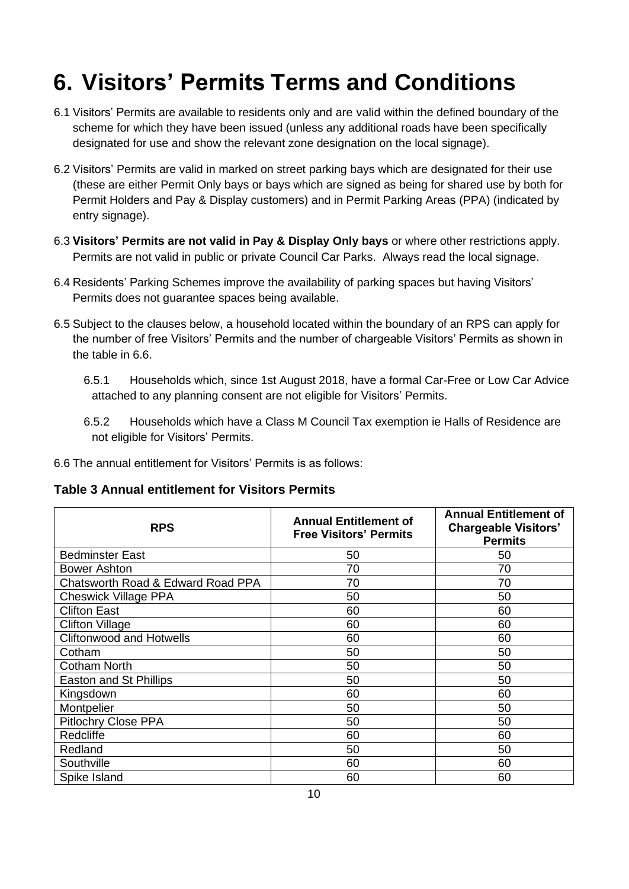## <span id="page-9-2"></span>**6. Visitors' Permits Terms and Conditions**

- 6.1 Visitors' Permits are available to residents only and are valid within the defined boundary of the scheme for which they have been issued (unless any additional roads have been specifically designated for use and show the relevant zone designation on the local signage).
- <span id="page-9-0"></span>6.2 Visitors' Permits are valid in marked on street parking bays which are designated for their use (these are either Permit Only bays or bays which are signed as being for shared use by both for Permit Holders and Pay & Display customers) and in Permit Parking Areas (PPA) (indicated by entry signage).
- <span id="page-9-1"></span>6.3 **Visitors' Permits are not valid in Pay & Display Only bays** or where other restrictions apply. Permits are not valid in public or private Council Car Parks. Always read the local signage.
- 6.4 Residents' Parking Schemes improve the availability of parking spaces but having Visitors' Permits does not guarantee spaces being available.
- 6.5 Subject to the clauses below, a household located within the boundary of an RPS can apply for the number of free Visitors' Permits and the number of chargeable Visitors' Permits as shown in the table in [6.6.](#page-9-3)
	- 6.5.1 Households which, since 1st August 2018, have a formal Car-Free or Low Car Advice attached to any planning consent are not eligible for Visitors' Permits.
	- 6.5.2 Households which have a Class M Council Tax exemption ie Halls of Residence are not eligible for Visitors' Permits.
- <span id="page-9-3"></span>6.6 The annual entitlement for Visitors' Permits is as follows:

**Table 3 Annual entitlement for Visitors Permits**

| <b>RPS</b>                        | <b>Annual Entitlement of</b><br><b>Free Visitors' Permits</b> | <b>Annual Entitlement of</b><br><b>Chargeable Visitors'</b><br><b>Permits</b> |
|-----------------------------------|---------------------------------------------------------------|-------------------------------------------------------------------------------|
| <b>Bedminster East</b>            | 50                                                            | 50                                                                            |
| <b>Bower Ashton</b>               | 70                                                            | 70                                                                            |
| Chatsworth Road & Edward Road PPA | 70                                                            | 70                                                                            |
| <b>Cheswick Village PPA</b>       | 50                                                            | 50                                                                            |
| <b>Clifton East</b>               | 60                                                            | 60                                                                            |
| <b>Clifton Village</b>            | 60                                                            | 60                                                                            |
| <b>Cliftonwood and Hotwells</b>   | 60                                                            | 60                                                                            |
| Cotham                            | 50                                                            | 50                                                                            |
| <b>Cotham North</b>               | 50                                                            | 50                                                                            |
| Easton and St Phillips            | 50                                                            | 50                                                                            |
| Kingsdown                         | 60                                                            | 60                                                                            |
| Montpelier                        | 50                                                            | 50                                                                            |
| <b>Pitlochry Close PPA</b>        | 50                                                            | 50                                                                            |
| Redcliffe                         | 60                                                            | 60                                                                            |
| Redland                           | 50                                                            | 50                                                                            |
| Southville                        | 60                                                            | 60                                                                            |
| Spike Island                      | 60                                                            | 60                                                                            |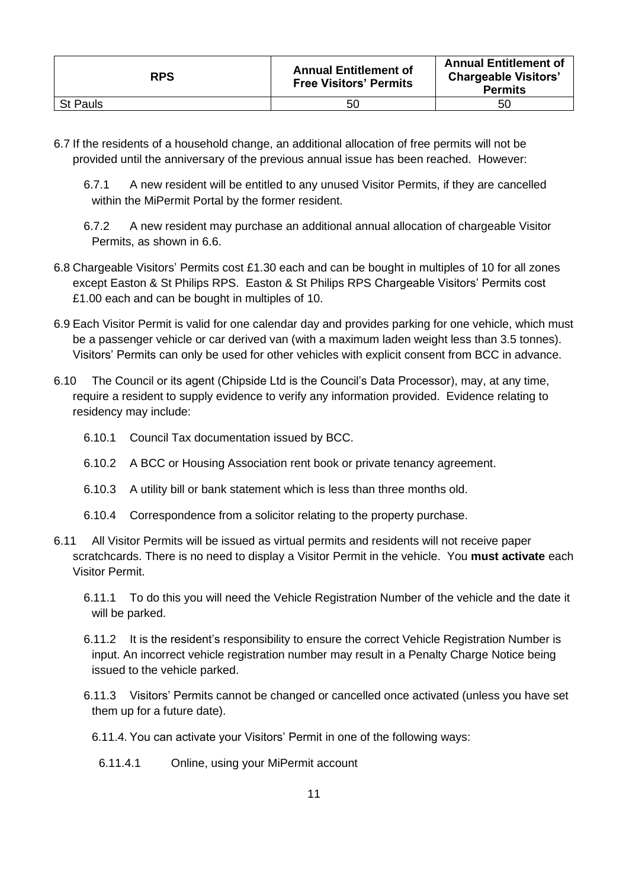| <b>RPS</b>      | <b>Annual Entitlement of</b><br><b>Free Visitors' Permits</b> | <b>Annual Entitlement of</b><br><b>Chargeable Visitors'</b><br><b>Permits</b> |
|-----------------|---------------------------------------------------------------|-------------------------------------------------------------------------------|
| <b>St Pauls</b> | 50                                                            | 50                                                                            |

- 6.7 If the residents of a household change, an additional allocation of free permits will not be provided until the anniversary of the previous annual issue has been reached. However:
	- 6.7.1 A new resident will be entitled to any unused Visitor Permits, if they are cancelled within the MiPermit Portal by the former resident.
	- 6.7.2 A new resident may purchase an additional annual allocation of chargeable Visitor Permits, as shown in [6.6.](#page-9-3)
- 6.8 Chargeable Visitors' Permits cost £1.30 each and can be bought in multiples of 10 for all zones except Easton & St Philips RPS. Easton & St Philips RPS Chargeable Visitors' Permits cost £1.00 each and can be bought in multiples of 10.
- 6.9 Each Visitor Permit is valid for one calendar day and provides parking for one vehicle, which must be a passenger vehicle or car derived van (with a maximum laden weight less than 3.5 tonnes). Visitors' Permits can only be used for other vehicles with explicit consent from BCC in advance.
- <span id="page-10-0"></span>6.10 The Council or its agent (Chipside Ltd is the Council's Data Processor), may, at any time, require a resident to supply evidence to verify any information provided. Evidence relating to residency may include:
	- 6.10.1 Council Tax documentation issued by BCC.
	- 6.10.2 A BCC or Housing Association rent book or private tenancy agreement.
	- 6.10.3 A utility bill or bank statement which is less than three months old.
	- 6.10.4 Correspondence from a solicitor relating to the property purchase.
- 6.11 All Visitor Permits will be issued as virtual permits and residents will not receive paper scratchcards. There is no need to display a Visitor Permit in the vehicle. You **must activate** each Visitor Permit.
	- 6.11.1 To do this you will need the Vehicle Registration Number of the vehicle and the date it will be parked.
	- 6.11.2 It is the resident's responsibility to ensure the correct Vehicle Registration Number is input. An incorrect vehicle registration number may result in a Penalty Charge Notice being issued to the vehicle parked.
	- 6.11.3 Visitors' Permits cannot be changed or cancelled once activated (unless you have set them up for a future date).
		- 6.11.4. You can activate your Visitors' Permit in one of the following ways:
			- 6.11.4.1 Online, using your MiPermit account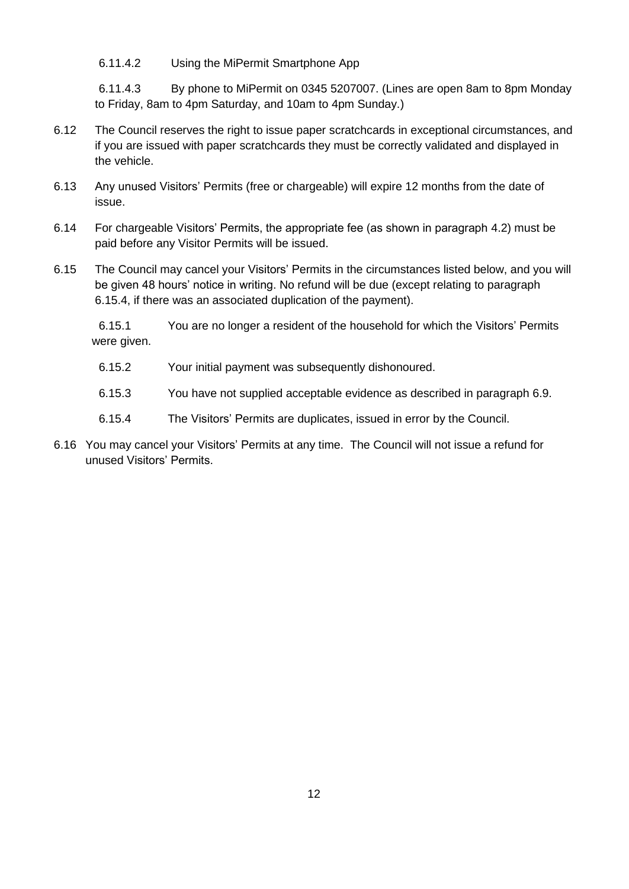6.11.4.2 Using the MiPermit Smartphone App

6.11.4.3 By phone to MiPermit on 0345 5207007. (Lines are open 8am to 8pm Monday to Friday, 8am to 4pm Saturday, and 10am to 4pm Sunday.)

- 6.12 The Council reserves the right to issue paper scratchcards in exceptional circumstances, and if you are issued with paper scratchcards they must be correctly validated and displayed in the vehicle.
- 6.13 Any unused Visitors' Permits (free or chargeable) will expire 12 months from the date of issue.
- 6.14 For chargeable Visitors' Permits, the appropriate fee (as shown in paragraph [4.2\)](#page-4-0) must be paid before any Visitor Permits will be issued.
- 6.15 The Council may cancel your Visitors' Permits in the circumstances listed below, and you will be given 48 hours' notice in writing. No refund will be due (except relating to paragraph [6.15.4,](#page-11-0) if there was an associated duplication of the payment).

6.15.1 You are no longer a resident of the household for which the Visitors' Permits were given.

- 6.15.2 Your initial payment was subsequently dishonoured.
- 6.15.3 You have not supplied acceptable evidence as described in paragraph [6.9.](#page-10-0)
- 6.15.4 The Visitors' Permits are duplicates, issued in error by the Council.
- <span id="page-11-0"></span>6.16 You may cancel your Visitors' Permits at any time. The Council will not issue a refund for unused Visitors' Permits.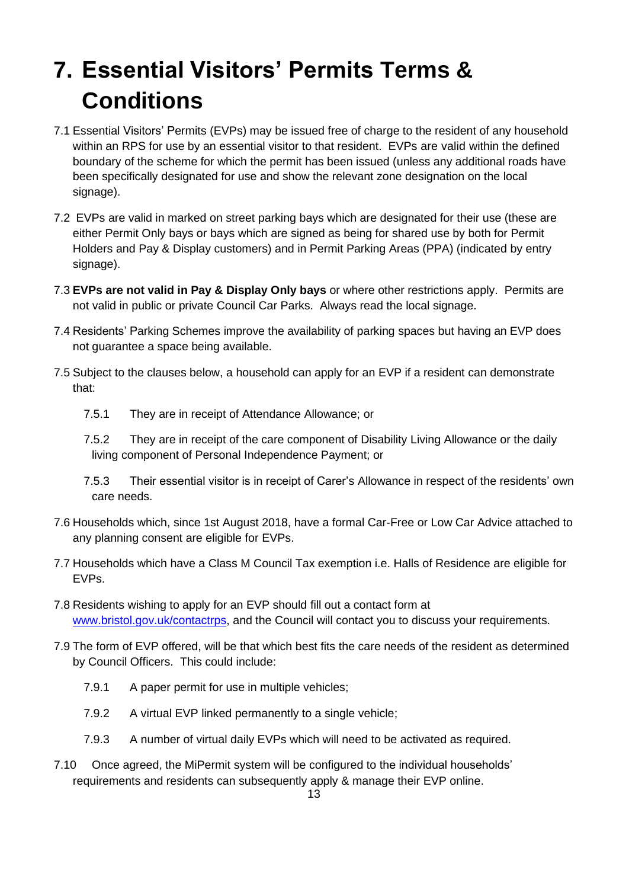## <span id="page-12-2"></span>**7. Essential Visitors' Permits Terms & Conditions**

- 7.1 Essential Visitors' Permits (EVPs) may be issued free of charge to the resident of any household within an RPS for use by an essential visitor to that resident. EVPs are valid within the defined boundary of the scheme for which the permit has been issued (unless any additional roads have been specifically designated for use and show the relevant zone designation on the local signage).
- <span id="page-12-0"></span>7.2 EVPs are valid in marked on street parking bays which are designated for their use (these are either Permit Only bays or bays which are signed as being for shared use by both for Permit Holders and Pay & Display customers) and in Permit Parking Areas (PPA) (indicated by entry signage).
- <span id="page-12-1"></span>7.3 **EVPs are not valid in Pay & Display Only bays** or where other restrictions apply. Permits are not valid in public or private Council Car Parks. Always read the local signage.
- 7.4 Residents' Parking Schemes improve the availability of parking spaces but having an EVP does not guarantee a space being available.
- 7.5 Subject to the clauses below, a household can apply for an EVP if a resident can demonstrate that:
	- 7.5.1 They are in receipt of Attendance Allowance; or
	- 7.5.2 They are in receipt of the care component of Disability Living Allowance or the daily living component of Personal Independence Payment; or
	- 7.5.3 Their essential visitor is in receipt of Carer's Allowance in respect of the residents' own care needs.
- 7.6 Households which, since 1st August 2018, have a formal Car-Free or Low Car Advice attached to any planning consent are eligible for EVPs.
- 7.7 Households which have a Class M Council Tax exemption i.e. Halls of Residence are eligible for EVPs.
- 7.8 Residents wishing to apply for an EVP should fill out a contact form at [www.bristol.gov.uk/contactrps,](http://www.bristol.gov.uk/contactrps) and the Council will contact you to discuss your requirements.
- 7.9 The form of EVP offered, will be that which best fits the care needs of the resident as determined by Council Officers. This could include:
	- 7.9.1 A paper permit for use in multiple vehicles;
	- 7.9.2 A virtual EVP linked permanently to a single vehicle;
	- 7.9.3 A number of virtual daily EVPs which will need to be activated as required.
- 7.10 Once agreed, the MiPermit system will be configured to the individual households' requirements and residents can subsequently apply & manage their EVP online.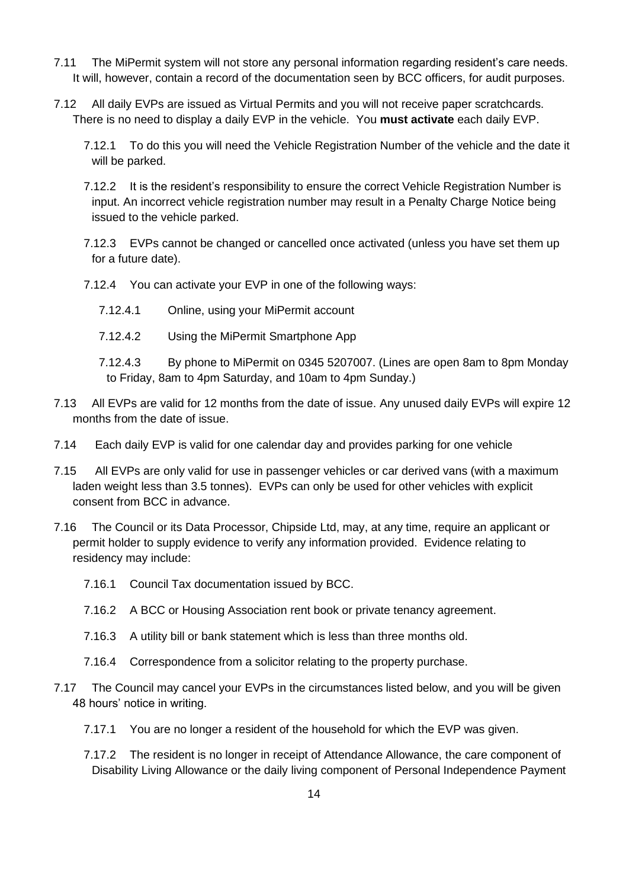- 7.11 The MiPermit system will not store any personal information regarding resident's care needs. It will, however, contain a record of the documentation seen by BCC officers, for audit purposes.
- 7.12 All daily EVPs are issued as Virtual Permits and you will not receive paper scratchcards. There is no need to display a daily EVP in the vehicle. You **must activate** each daily EVP.
	- 7.12.1 To do this you will need the Vehicle Registration Number of the vehicle and the date it will be parked.
	- 7.12.2 It is the resident's responsibility to ensure the correct Vehicle Registration Number is input. An incorrect vehicle registration number may result in a Penalty Charge Notice being issued to the vehicle parked.
	- 7.12.3 EVPs cannot be changed or cancelled once activated (unless you have set them up for a future date).
	- 7.12.4 You can activate your EVP in one of the following ways:
		- 7.12.4.1 Online, using your MiPermit account
		- 7.12.4.2 Using the MiPermit Smartphone App
		- 7.12.4.3 By phone to MiPermit on 0345 5207007. (Lines are open 8am to 8pm Monday to Friday, 8am to 4pm Saturday, and 10am to 4pm Sunday.)
- 7.13 All EVPs are valid for 12 months from the date of issue. Any unused daily EVPs will expire 12 months from the date of issue.
- 7.14 Each daily EVP is valid for one calendar day and provides parking for one vehicle
- 7.15 All EVPs are only valid for use in passenger vehicles or car derived vans (with a maximum laden weight less than 3.5 tonnes). EVPs can only be used for other vehicles with explicit consent from BCC in advance.
- <span id="page-13-0"></span>7.16 The Council or its Data Processor, Chipside Ltd, may, at any time, require an applicant or permit holder to supply evidence to verify any information provided. Evidence relating to residency may include:
	- 7.16.1 Council Tax documentation issued by BCC.
	- 7.16.2 A BCC or Housing Association rent book or private tenancy agreement.
	- 7.16.3 A utility bill or bank statement which is less than three months old.
	- 7.16.4 Correspondence from a solicitor relating to the property purchase.
- 7.17 The Council may cancel your EVPs in the circumstances listed below, and you will be given 48 hours' notice in writing.
	- 7.17.1 You are no longer a resident of the household for which the EVP was given.
	- 7.17.2 The resident is no longer in receipt of Attendance Allowance, the care component of Disability Living Allowance or the daily living component of Personal Independence Payment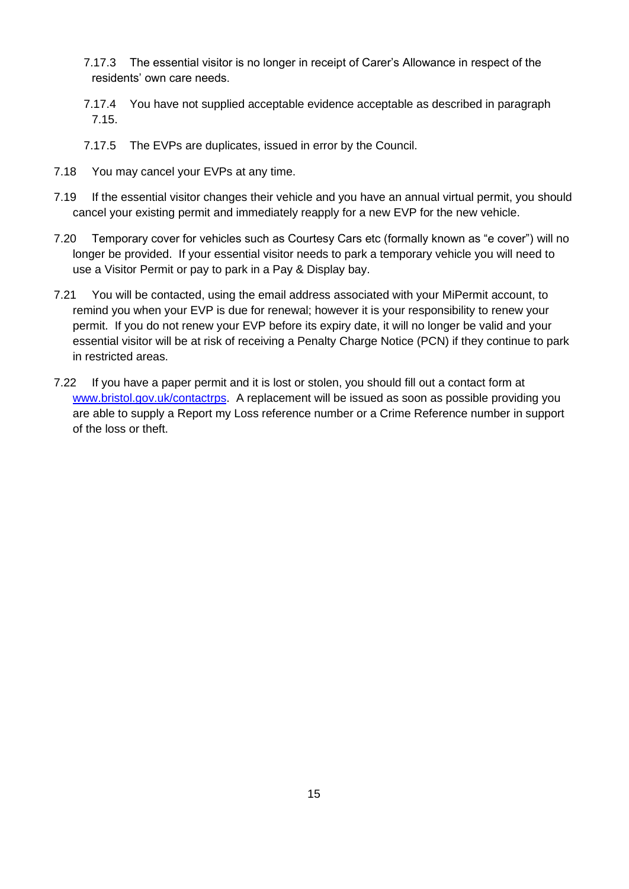- 7.17.3 The essential visitor is no longer in receipt of Carer's Allowance in respect of the residents' own care needs.
- 7.17.4 You have not supplied acceptable evidence acceptable as described in paragraph [7.15.](#page-13-0)
- 7.17.5 The EVPs are duplicates, issued in error by the Council.
- 7.18 You may cancel your EVPs at any time.
- 7.19 If the essential visitor changes their vehicle and you have an annual virtual permit, you should cancel your existing permit and immediately reapply for a new EVP for the new vehicle.
- 7.20 Temporary cover for vehicles such as Courtesy Cars etc (formally known as "e cover") will no longer be provided. If your essential visitor needs to park a temporary vehicle you will need to use a Visitor Permit or pay to park in a Pay & Display bay.
- 7.21 You will be contacted, using the email address associated with your MiPermit account, to remind you when your EVP is due for renewal; however it is your responsibility to renew your permit. If you do not renew your EVP before its expiry date, it will no longer be valid and your essential visitor will be at risk of receiving a Penalty Charge Notice (PCN) if they continue to park in restricted areas.
- 7.22 If you have a paper permit and it is lost or stolen, you should fill out a contact form at [www.bristol.gov.uk/contactrps.](http://www.bristol.gov.uk/contactrps) A replacement will be issued as soon as possible providing you are able to supply a Report my Loss reference number or a Crime Reference number in support of the loss or theft.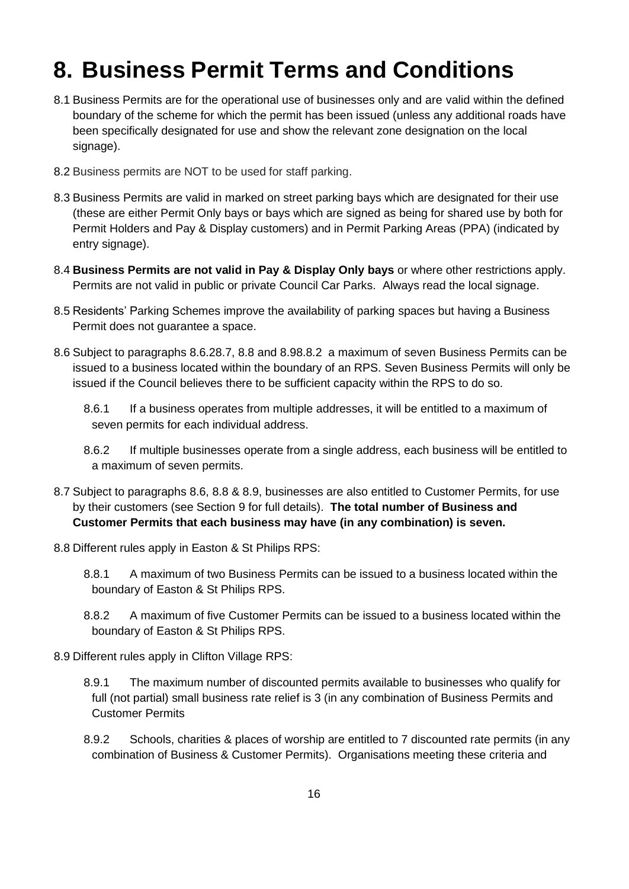#### <span id="page-15-2"></span>**8. Business Permit Terms and Conditions**

- 8.1 Business Permits are for the operational use of businesses only and are valid within the defined boundary of the scheme for which the permit has been issued (unless any additional roads have been specifically designated for use and show the relevant zone designation on the local signage).
- <span id="page-15-0"></span>8.2 Business permits are NOT to be used for staff parking.
- <span id="page-15-1"></span>8.3 Business Permits are valid in marked on street parking bays which are designated for their use (these are either Permit Only bays or bays which are signed as being for shared use by both for Permit Holders and Pay & Display customers) and in Permit Parking Areas (PPA) (indicated by entry signage).
- 8.4 **Business Permits are not valid in Pay & Display Only bays** or where other restrictions apply. Permits are not valid in public or private Council Car Parks. Always read the local signage.
- 8.5 Residents' Parking Schemes improve the availability of parking spaces but having a Business Permit does not guarantee a space.
- <span id="page-15-7"></span>8.6 Subject to paragraphs 8.6.[28.7,](#page-15-3) [8.8](#page-15-4) and [8.9](#page-15-5)[8.8.2](#page-15-6) a maximum of seven Business Permits can be issued to a business located within the boundary of an RPS. Seven Business Permits will only be issued if the Council believes there to be sufficient capacity within the RPS to do so.
	- 8.6.1 If a business operates from multiple addresses, it will be entitled to a maximum of seven permits for each individual address.
	- 8.6.2 If multiple businesses operate from a single address, each business will be entitled to a maximum of seven permits.
- 8.7 Subject to paragraphs [8.6,](#page-15-7) [8.8](#page-15-4) & [8.9,](#page-15-5) businesses are also entitled to Customer Permits, for use by their customers (see Section 9 for full details). **The total number of Business and Customer Permits that each business may have (in any combination) is seven.**
- <span id="page-15-4"></span><span id="page-15-3"></span>8.8 Different rules apply in Easton & St Philips RPS:
	- 8.8.1 A maximum of two Business Permits can be issued to a business located within the boundary of Easton & St Philips RPS.
	- 8.8.2 A maximum of five Customer Permits can be issued to a business located within the boundary of Easton & St Philips RPS.
- <span id="page-15-6"></span><span id="page-15-5"></span>8.9 Different rules apply in Clifton Village RPS:
	- 8.9.1 The maximum number of discounted permits available to businesses who qualify for full (not partial) small business rate relief is 3 (in any combination of Business Permits and Customer Permits
	- 8.9.2 Schools, charities & places of worship are entitled to 7 discounted rate permits (in any combination of Business & Customer Permits). Organisations meeting these criteria and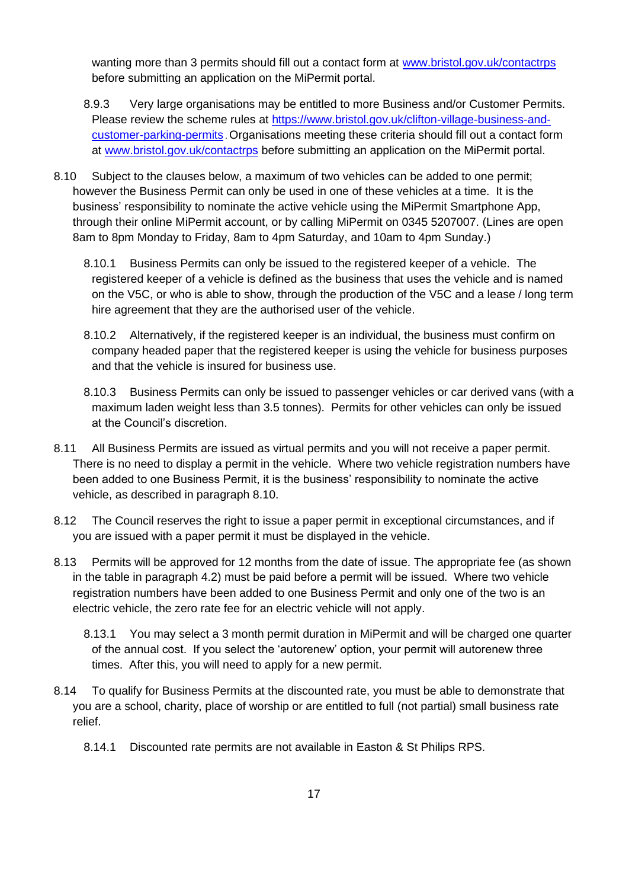wanting more than 3 permits should fill out a contact form at [www.bristol.gov.uk/contactrps](http://www.bristol.gov.uk/contactrps) before submitting an application on the MiPermit portal.

- 8.9.3 Very large organisations may be entitled to more Business and/or Customer Permits. Please review the scheme rules at [https://www.bristol.gov.uk/clifton-village-business-and](https://www.bristol.gov.uk/clifton-village-business-and-customer-parking-permits)[customer-parking-permits](https://www.bristol.gov.uk/clifton-village-business-and-customer-parking-permits) . Organisations meeting these criteria should fill out a contact form at [www.bristol.gov.uk/contactrps](http://www.bristol.gov.uk/contactrps) before submitting an application on the MiPermit portal.
- <span id="page-16-1"></span>8.10 Subject to the clauses below, a maximum of two vehicles can be added to one permit; however the Business Permit can only be used in one of these vehicles at a time. It is the business' responsibility to nominate the active vehicle using the MiPermit Smartphone App, through their online MiPermit account, or by calling MiPermit on 0345 5207007. (Lines are open 8am to 8pm Monday to Friday, 8am to 4pm Saturday, and 10am to 4pm Sunday.)
	- 8.10.1 Business Permits can only be issued to the registered keeper of a vehicle. The registered keeper of a vehicle is defined as the business that uses the vehicle and is named on the V5C, or who is able to show, through the production of the V5C and a lease / long term hire agreement that they are the authorised user of the vehicle.
	- 8.10.2 Alternatively, if the registered keeper is an individual, the business must confirm on company headed paper that the registered keeper is using the vehicle for business purposes and that the vehicle is insured for business use.
	- 8.10.3 Business Permits can only be issued to passenger vehicles or car derived vans (with a maximum laden weight less than 3.5 tonnes). Permits for other vehicles can only be issued at the Council's discretion.
- 8.11 All Business Permits are issued as virtual permits and you will not receive a paper permit. There is no need to display a permit in the vehicle. Where two vehicle registration numbers have been added to one Business Permit, it is the business' responsibility to nominate the active vehicle, as described in paragraph [8.10.](#page-16-1)
- 8.12 The Council reserves the right to issue a paper permit in exceptional circumstances, and if you are issued with a paper permit it must be displayed in the vehicle.
- <span id="page-16-0"></span>8.13 Permits will be approved for 12 months from the date of issue. The appropriate fee (as shown in the table in paragraph [4.2\)](#page-4-0) must be paid before a permit will be issued. Where two vehicle registration numbers have been added to one Business Permit and only one of the two is an electric vehicle, the zero rate fee for an electric vehicle will not apply.
	- 8.13.1 You may select a 3 month permit duration in MiPermit and will be charged one quarter of the annual cost. If you select the 'autorenew' option, your permit will autorenew three times. After this, you will need to apply for a new permit.
- 8.14 To qualify for Business Permits at the discounted rate, you must be able to demonstrate that you are a school, charity, place of worship or are entitled to full (not partial) small business rate relief.
	- 8.14.1 Discounted rate permits are not available in Easton & St Philips RPS.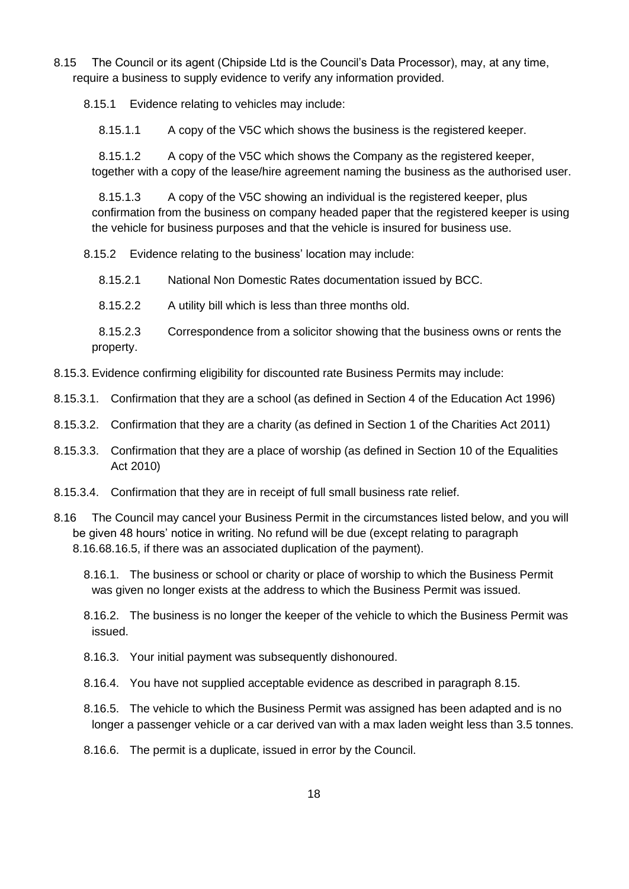<span id="page-17-1"></span>8.15 The Council or its agent (Chipside Ltd is the Council's Data Processor), may, at any time, require a business to supply evidence to verify any information provided.

8.15.1 Evidence relating to vehicles may include:

8.15.1.1 A copy of the V5C which shows the business is the registered keeper.

8.15.1.2 A copy of the V5C which shows the Company as the registered keeper, together with a copy of the lease/hire agreement naming the business as the authorised user.

8.15.1.3 A copy of the V5C showing an individual is the registered keeper, plus confirmation from the business on company headed paper that the registered keeper is using the vehicle for business purposes and that the vehicle is insured for business use.

8.15.2 Evidence relating to the business' location may include:

8.15.2.1 National Non Domestic Rates documentation issued by BCC.

8.15.2.2 A utility bill which is less than three months old.

8.15.2.3 Correspondence from a solicitor showing that the business owns or rents the property.

- 8.15.3. Evidence confirming eligibility for discounted rate Business Permits may include:
- 8.15.3.1. Confirmation that they are a school (as defined in Section 4 of the Education Act 1996)
- 8.15.3.2. Confirmation that they are a charity (as defined in Section 1 of the Charities Act 2011)
- 8.15.3.3. Confirmation that they are a place of worship (as defined in Section 10 of the Equalities Act 2010)
- 8.15.3.4. Confirmation that they are in receipt of full small business rate relief.
- 8.16 The Council may cancel your Business Permit in the circumstances listed below, and you will be given 48 hours' notice in writing. No refund will be due (except relating to paragraph [8.16.68](#page-17-0).16.5, if there was an associated duplication of the payment).
	- 8.16.1. The business or school or charity or place of worship to which the Business Permit was given no longer exists at the address to which the Business Permit was issued.

8.16.2. The business is no longer the keeper of the vehicle to which the Business Permit was issued.

- 8.16.3. Your initial payment was subsequently dishonoured.
- 8.16.4. You have not supplied acceptable evidence as described in paragraph [8.15.](#page-17-1)
- 8.16.5. The vehicle to which the Business Permit was assigned has been adapted and is no longer a passenger vehicle or a car derived van with a max laden weight less than 3.5 tonnes.
- <span id="page-17-0"></span>8.16.6. The permit is a duplicate, issued in error by the Council.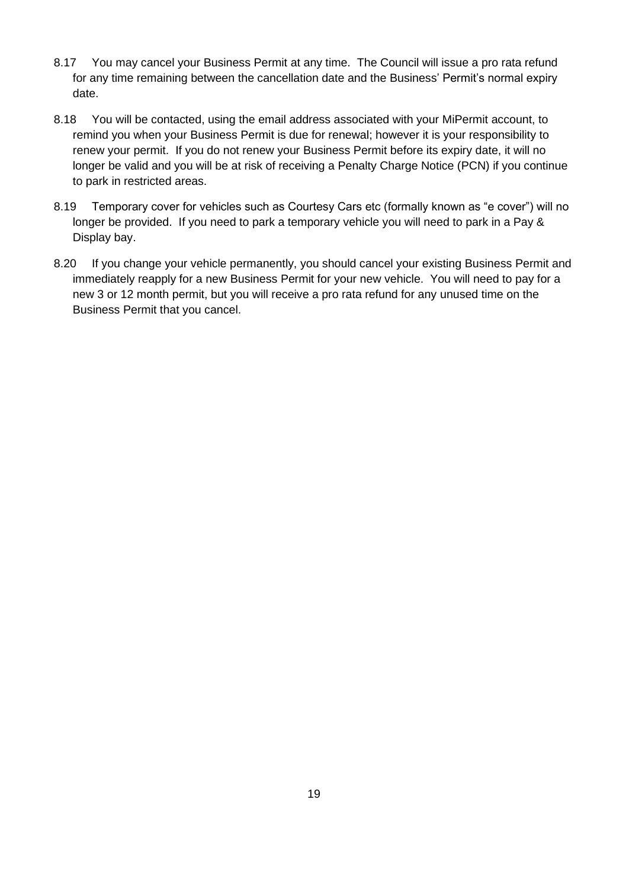- 8.17 You may cancel your Business Permit at any time. The Council will issue a pro rata refund for any time remaining between the cancellation date and the Business' Permit's normal expiry date.
- 8.18 You will be contacted, using the email address associated with your MiPermit account, to remind you when your Business Permit is due for renewal; however it is your responsibility to renew your permit. If you do not renew your Business Permit before its expiry date, it will no longer be valid and you will be at risk of receiving a Penalty Charge Notice (PCN) if you continue to park in restricted areas.
- 8.19 Temporary cover for vehicles such as Courtesy Cars etc (formally known as "e cover") will no longer be provided. If you need to park a temporary vehicle you will need to park in a Pay & Display bay.
- 8.20 If you change your vehicle permanently, you should cancel your existing Business Permit and immediately reapply for a new Business Permit for your new vehicle. You will need to pay for a new 3 or 12 month permit, but you will receive a pro rata refund for any unused time on the Business Permit that you cancel.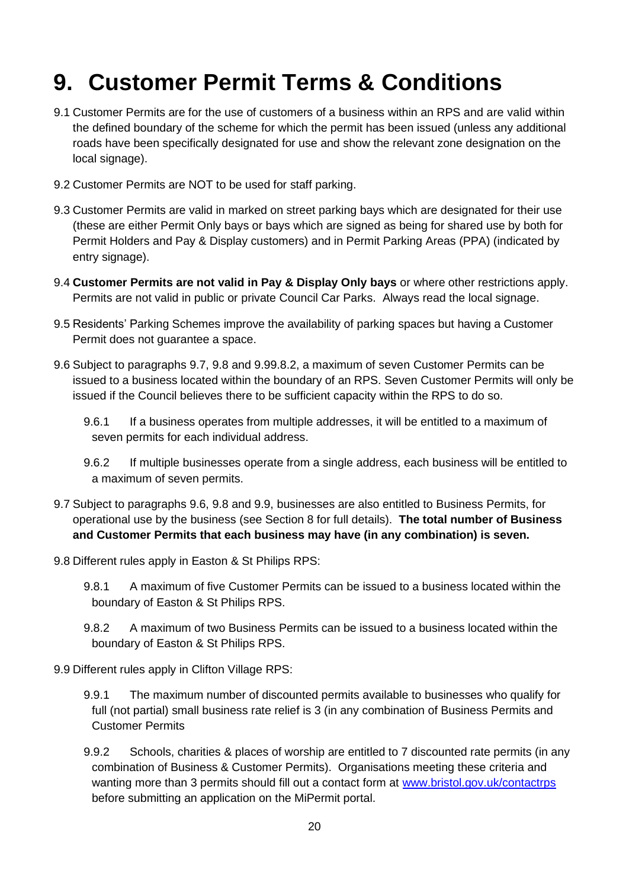## <span id="page-19-2"></span>**9. Customer Permit Terms & Conditions**

- 9.1 Customer Permits are for the use of customers of a business within an RPS and are valid within the defined boundary of the scheme for which the permit has been issued (unless any additional roads have been specifically designated for use and show the relevant zone designation on the local signage).
- 9.2 Customer Permits are NOT to be used for staff parking.
- <span id="page-19-0"></span>9.3 Customer Permits are valid in marked on street parking bays which are designated for their use (these are either Permit Only bays or bays which are signed as being for shared use by both for Permit Holders and Pay & Display customers) and in Permit Parking Areas (PPA) (indicated by entry signage).
- <span id="page-19-1"></span>9.4 **Customer Permits are not valid in Pay & Display Only bays** or where other restrictions apply. Permits are not valid in public or private Council Car Parks. Always read the local signage.
- 9.5 Residents' Parking Schemes improve the availability of parking spaces but having a Customer Permit does not guarantee a space.
- <span id="page-19-6"></span>9.6 Subject to paragraphs 9.7, [9.8](#page-19-3) and [9.9](#page-19-4)[9.8.2,](#page-19-5) a maximum of seven Customer Permits can be issued to a business located within the boundary of an RPS. Seven Customer Permits will only be issued if the Council believes there to be sufficient capacity within the RPS to do so.
	- 9.6.1 If a business operates from multiple addresses, it will be entitled to a maximum of seven permits for each individual address.
	- 9.6.2 If multiple businesses operate from a single address, each business will be entitled to a maximum of seven permits.
- 9.7 Subject to paragraphs [9.6,](#page-19-6) [9.8](#page-19-3) and [9.9,](#page-19-4) businesses are also entitled to Business Permits, for operational use by the business (see Section 8 for full details). **The total number of Business and Customer Permits that each business may have (in any combination) is seven.**
- <span id="page-19-3"></span>9.8 Different rules apply in Easton & St Philips RPS:
	- 9.8.1 A maximum of five Customer Permits can be issued to a business located within the boundary of Easton & St Philips RPS.
	- 9.8.2 A maximum of two Business Permits can be issued to a business located within the boundary of Easton & St Philips RPS.
- <span id="page-19-5"></span><span id="page-19-4"></span>9.9 Different rules apply in Clifton Village RPS:
	- 9.9.1 The maximum number of discounted permits available to businesses who qualify for full (not partial) small business rate relief is 3 (in any combination of Business Permits and Customer Permits
	- 9.9.2 Schools, charities & places of worship are entitled to 7 discounted rate permits (in any combination of Business & Customer Permits). Organisations meeting these criteria and wanting more than 3 permits should fill out a contact form at [www.bristol.gov.uk/contactrps](http://www.bristol.gov.uk/contactrps) before submitting an application on the MiPermit portal.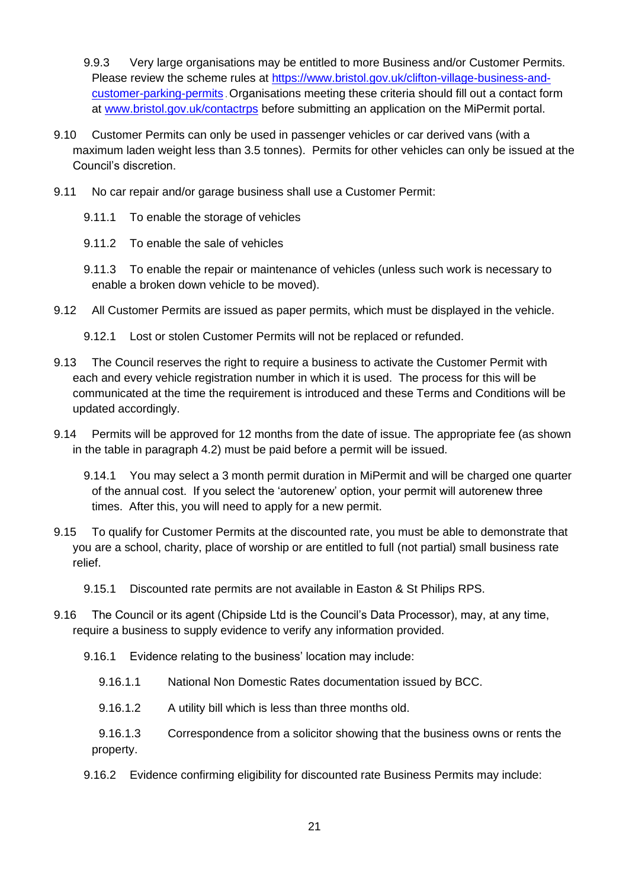9.9.3 Very large organisations may be entitled to more Business and/or Customer Permits. Please review the scheme rules at [https://www.bristol.gov.uk/clifton-village-business-and](https://www.bristol.gov.uk/clifton-village-business-and-customer-parking-permits)[customer-parking-permits](https://www.bristol.gov.uk/clifton-village-business-and-customer-parking-permits) . Organisations meeting these criteria should fill out a contact form at [www.bristol.gov.uk/contactrps](http://www.bristol.gov.uk/contactrps) before submitting an application on the MiPermit portal.

- 9.10 Customer Permits can only be used in passenger vehicles or car derived vans (with a maximum laden weight less than 3.5 tonnes). Permits for other vehicles can only be issued at the Council's discretion.
- 9.11 No car repair and/or garage business shall use a Customer Permit:
	- 9.11.1 To enable the storage of vehicles
	- 9.11.2 To enable the sale of vehicles
	- 9.11.3 To enable the repair or maintenance of vehicles (unless such work is necessary to enable a broken down vehicle to be moved).
- 9.12 All Customer Permits are issued as paper permits, which must be displayed in the vehicle.
	- 9.12.1 Lost or stolen Customer Permits will not be replaced or refunded.
- <span id="page-20-0"></span>9.13 The Council reserves the right to require a business to activate the Customer Permit with each and every vehicle registration number in which it is used. The process for this will be communicated at the time the requirement is introduced and these Terms and Conditions will be updated accordingly.
- <span id="page-20-1"></span>9.14 Permits will be approved for 12 months from the date of issue. The appropriate fee (as shown in the table in paragraph [4.2\)](#page-4-0) must be paid before a permit will be issued.

9.14.1 You may select a 3 month permit duration in MiPermit and will be charged one quarter of the annual cost. If you select the 'autorenew' option, your permit will autorenew three times. After this, you will need to apply for a new permit.

- 9.15 To qualify for Customer Permits at the discounted rate, you must be able to demonstrate that you are a school, charity, place of worship or are entitled to full (not partial) small business rate relief.
	- 9.15.1 Discounted rate permits are not available in Easton & St Philips RPS.
- 9.16 The Council or its agent (Chipside Ltd is the Council's Data Processor), may, at any time, require a business to supply evidence to verify any information provided.
	- 9.16.1 Evidence relating to the business' location may include:
		- 9.16.1.1 National Non Domestic Rates documentation issued by BCC.
		- 9.16.1.2 A utility bill which is less than three months old.
		- 9.16.1.3 Correspondence from a solicitor showing that the business owns or rents the property.
	- 9.16.2 Evidence confirming eligibility for discounted rate Business Permits may include: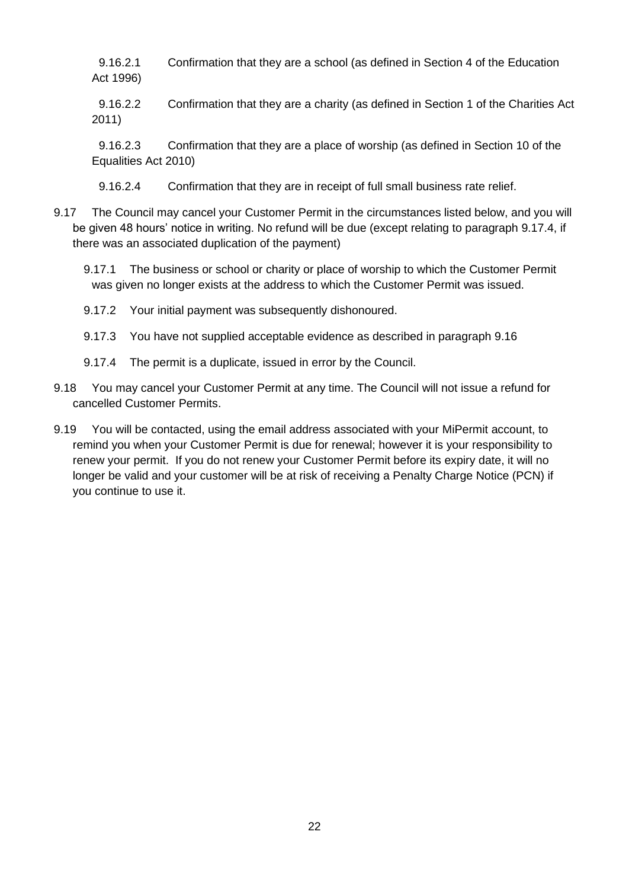9.16.2.1 Confirmation that they are a school (as defined in Section 4 of the Education Act 1996)

9.16.2.2 Confirmation that they are a charity (as defined in Section 1 of the Charities Act 2011)

9.16.2.3 Confirmation that they are a place of worship (as defined in Section 10 of the Equalities Act 2010)

9.16.2.4 Confirmation that they are in receipt of full small business rate relief.

9.17 The Council may cancel your Customer Permit in the circumstances listed below, and you will be given 48 hours' notice in writing. No refund will be due (except relating to paragraph [9.17.4,](#page-21-0) if there was an associated duplication of the payment)

9.17.1 The business or school or charity or place of worship to which the Customer Permit was given no longer exists at the address to which the Customer Permit was issued.

- 9.17.2 Your initial payment was subsequently dishonoured.
- 9.17.3 You have not supplied acceptable evidence as described in paragraph 9.16
- 9.17.4 The permit is a duplicate, issued in error by the Council.
- <span id="page-21-0"></span>9.18 You may cancel your Customer Permit at any time. The Council will not issue a refund for cancelled Customer Permits.
- 9.19 You will be contacted, using the email address associated with your MiPermit account, to remind you when your Customer Permit is due for renewal; however it is your responsibility to renew your permit. If you do not renew your Customer Permit before its expiry date, it will no longer be valid and your customer will be at risk of receiving a Penalty Charge Notice (PCN) if you continue to use it.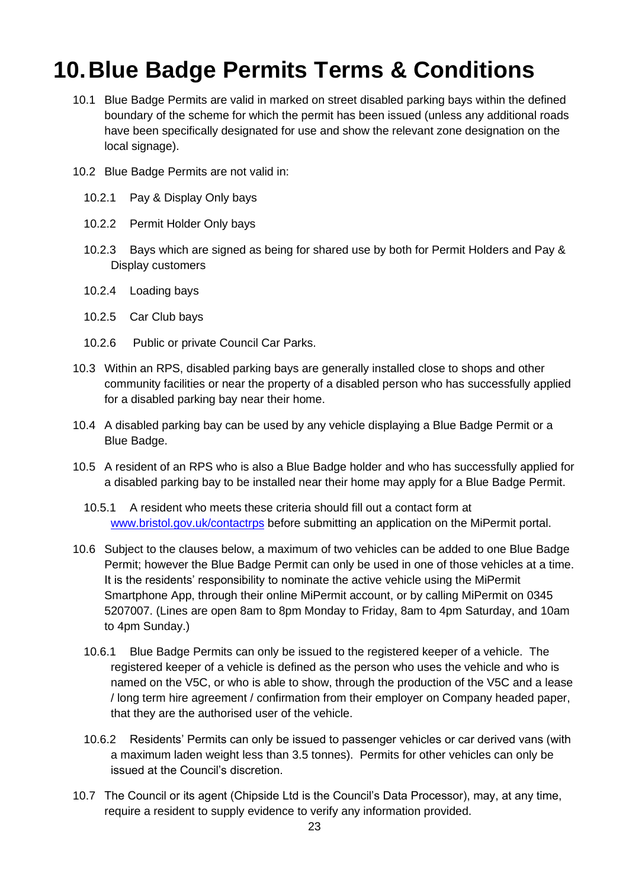### <span id="page-22-2"></span>**10.Blue Badge Permits Terms & Conditions**

- <span id="page-22-0"></span>10.1 Blue Badge Permits are valid in marked on street disabled parking bays within the defined boundary of the scheme for which the permit has been issued (unless any additional roads have been specifically designated for use and show the relevant zone designation on the local signage).
- 10.2 Blue Badge Permits are not valid in:
	- 10.2.1 Pay & Display Only bays
	- 10.2.2 Permit Holder Only bays
	- 10.2.3 Bays which are signed as being for shared use by both for Permit Holders and Pay & Display customers
	- 10.2.4 Loading bays
	- 10.2.5 Car Club bays
	- 10.2.6 Public or private Council Car Parks.
- <span id="page-22-1"></span>10.3 Within an RPS, disabled parking bays are generally installed close to shops and other community facilities or near the property of a disabled person who has successfully applied for a disabled parking bay near their home.
- 10.4 A disabled parking bay can be used by any vehicle displaying a Blue Badge Permit or a Blue Badge.
- 10.5 A resident of an RPS who is also a Blue Badge holder and who has successfully applied for a disabled parking bay to be installed near their home may apply for a Blue Badge Permit.
	- 10.5.1 A resident who meets these criteria should fill out a contact form at [www.bristol.gov.uk/contactrps](http://www.bristol.gov.uk/contactrps) before submitting an application on the MiPermit portal.
- <span id="page-22-3"></span>10.6 Subject to the clauses below, a maximum of two vehicles can be added to one Blue Badge Permit; however the Blue Badge Permit can only be used in one of those vehicles at a time. It is the residents' responsibility to nominate the active vehicle using the MiPermit Smartphone App, through their online MiPermit account, or by calling MiPermit on 0345 5207007. (Lines are open 8am to 8pm Monday to Friday, 8am to 4pm Saturday, and 10am to 4pm Sunday.)
	- 10.6.1 Blue Badge Permits can only be issued to the registered keeper of a vehicle. The registered keeper of a vehicle is defined as the person who uses the vehicle and who is named on the V5C, or who is able to show, through the production of the V5C and a lease / long term hire agreement / confirmation from their employer on Company headed paper, that they are the authorised user of the vehicle.
	- 10.6.2 Residents' Permits can only be issued to passenger vehicles or car derived vans (with a maximum laden weight less than 3.5 tonnes). Permits for other vehicles can only be issued at the Council's discretion.
- <span id="page-22-4"></span>10.7 The Council or its agent (Chipside Ltd is the Council's Data Processor), may, at any time, require a resident to supply evidence to verify any information provided.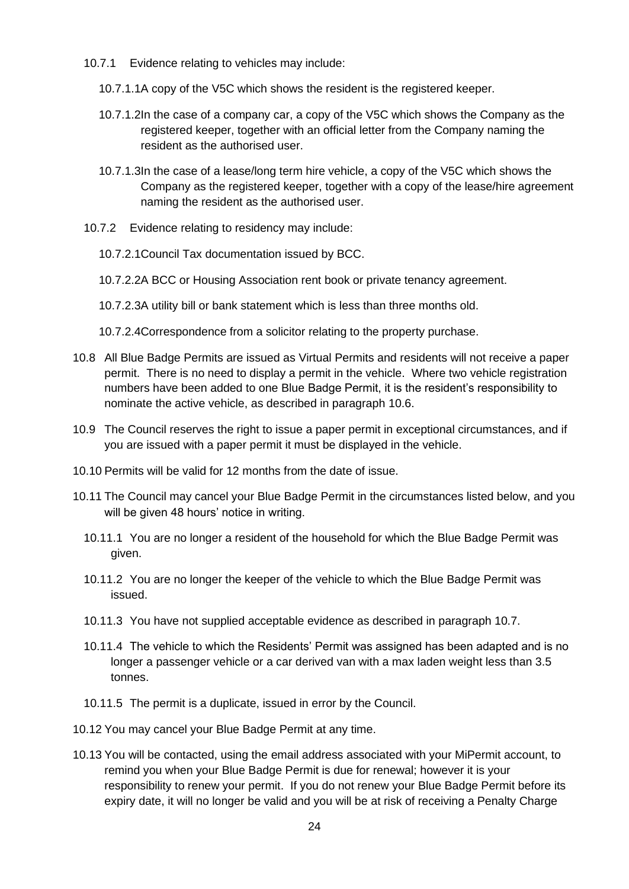- 10.7.1 Evidence relating to vehicles may include:
	- 10.7.1.1A copy of the V5C which shows the resident is the registered keeper.
	- 10.7.1.2In the case of a company car, a copy of the V5C which shows the Company as the registered keeper, together with an official letter from the Company naming the resident as the authorised user.
	- 10.7.1.3In the case of a lease/long term hire vehicle, a copy of the V5C which shows the Company as the registered keeper, together with a copy of the lease/hire agreement naming the resident as the authorised user.
- 10.7.2 Evidence relating to residency may include:
	- 10.7.2.1Council Tax documentation issued by BCC.
	- 10.7.2.2A BCC or Housing Association rent book or private tenancy agreement.
	- 10.7.2.3A utility bill or bank statement which is less than three months old.
	- 10.7.2.4Correspondence from a solicitor relating to the property purchase.
- 10.8 All Blue Badge Permits are issued as Virtual Permits and residents will not receive a paper permit. There is no need to display a permit in the vehicle. Where two vehicle registration numbers have been added to one Blue Badge Permit, it is the resident's responsibility to nominate the active vehicle, as described in paragraph [10.6.](#page-22-3)
- 10.9 The Council reserves the right to issue a paper permit in exceptional circumstances, and if you are issued with a paper permit it must be displayed in the vehicle.
- 10.10 Permits will be valid for 12 months from the date of issue.
- 10.11 The Council may cancel your Blue Badge Permit in the circumstances listed below, and you will be given 48 hours' notice in writing.
	- 10.11.1 You are no longer a resident of the household for which the Blue Badge Permit was given.
	- 10.11.2 You are no longer the keeper of the vehicle to which the Blue Badge Permit was issued.
	- 10.11.3 You have not supplied acceptable evidence as described in paragraph [10.7.](#page-22-4)
	- 10.11.4 The vehicle to which the Residents' Permit was assigned has been adapted and is no longer a passenger vehicle or a car derived van with a max laden weight less than 3.5 tonnes.
	- 10.11.5 The permit is a duplicate, issued in error by the Council.
- 10.12 You may cancel your Blue Badge Permit at any time.
- 10.13 You will be contacted, using the email address associated with your MiPermit account, to remind you when your Blue Badge Permit is due for renewal; however it is your responsibility to renew your permit. If you do not renew your Blue Badge Permit before its expiry date, it will no longer be valid and you will be at risk of receiving a Penalty Charge